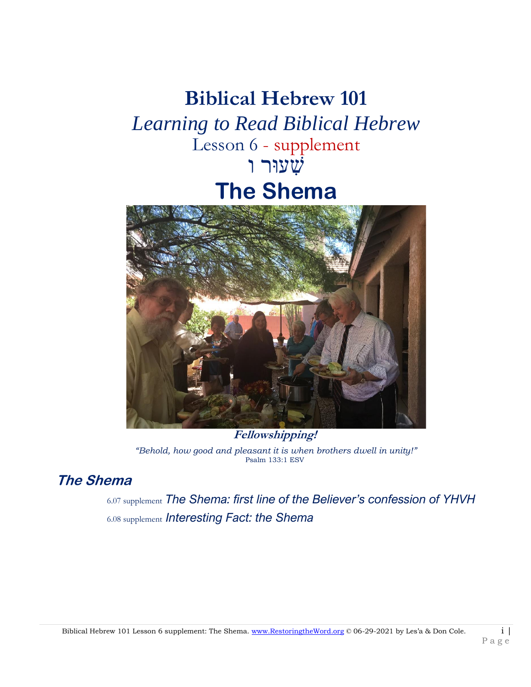# **Biblical Hebrew 101** *Learning to Read Biblical Hebrew* Lesson 6 - supplement י *אַ*עוּר ו **The Shema**



**Fellowshipping!** *"Behold, how good and pleasant it is when brothers dwell in unity!"* Psalm 133:1 ESV

## **The Shema**

6.07 supplement *The Shema: first line of the Believer's confession of YHVH* 6.08 supplement *Interesting Fact: the Shema*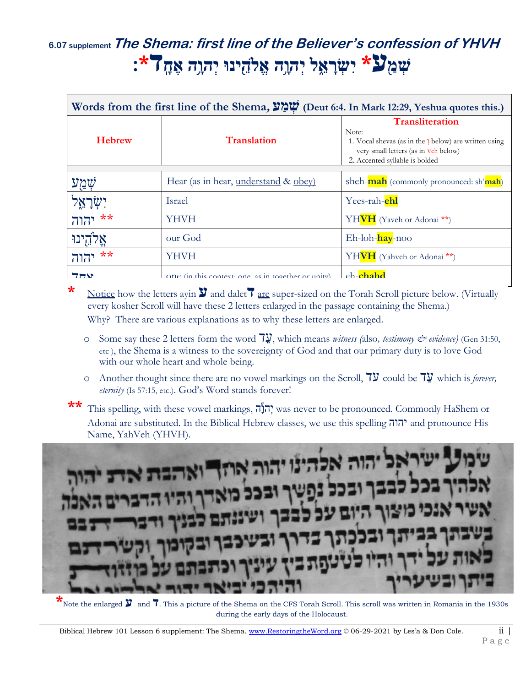# **6.07 supplementThe Shema: first line of the Believer's confession of YHVH שְׁ מַ ַ֖ע\* יִ שְׁ רָ א ֵ֑ לַ֖יְׁ הוָ ָ֥הַ֖אֱ ֹלה ינּוַ֖יְׁ הוָ ָ֥הַ֖אֶ חָ ַ֖ד\*׃ַ֖**

| Words from the first line of the Shema, $\frac{1}{2}$ . (Deut 6:4. In Mark 12:29, Yeshua quotes this.) |                                                    |                                                                                                                                                                    |
|--------------------------------------------------------------------------------------------------------|----------------------------------------------------|--------------------------------------------------------------------------------------------------------------------------------------------------------------------|
| <b>Hebrew</b>                                                                                          | <b>Translation</b>                                 | <b>Transliteration</b><br>Note:<br>1. Vocal shevas (as in the 1 below) are written using<br>very small letters (as in veh below)<br>2. Accented syllable is bolded |
|                                                                                                        | Hear (as in hear, understand & obey)               | sheh- <b>mah</b> (commonly pronounced: sh'mah)                                                                                                                     |
|                                                                                                        | Israel                                             | Yees-rah- <b>ehl</b>                                                                                                                                               |
| **                                                                                                     | YHVH                                               | YHVH (Yaveh or Adonai <sup>**</sup> )                                                                                                                              |
|                                                                                                        | our God                                            | Eh-loh-hay-noo                                                                                                                                                     |
| **<br>יהוה                                                                                             | YHVH                                               | YHVH (Yahveh or Adonai <sup>**</sup> )                                                                                                                             |
| 77Y                                                                                                    | One (in this context; one as in together or unity) | $eh$ -chahd                                                                                                                                                        |

**\*** Notice how the letters ayin **ע** and dalet**ד** are super-sized on the Torah Scroll picture below. (Virtually every kosher Scroll will have these 2 letters enlarged in the passage containing the Shema.) Why? There are various explanations as to why these letters are enlarged.

- o Some say these 2 letters form the word  $\overline{7}$ , which means *witness* (also, *testimony*  $\mathcal{Q}$  *evidence*) (Gen 31:50, etc ), the Shema is a witness to the sovereignty of God and that our primary duty is to love God with our whole heart and whole being.
- o Another thought since there are no vowel markings on the Scroll,  $7\overline{y}$  could be  $7\overline{y}$  which is *forever*, *eternity* (Is 57:15, etc.). God's Word stands forever!
- This spelling, with these vowel markings, הְנָה; was never to be pronounced. Commonly HaShem or Adonai are substituted. In the Biblical Hebrew classes, we use this spelling יהוה and pronounce His Name, YahVeh (YHVH).



**\*** Note the enlarged  $\mathbf{y}$  and **7**. This a picture of the Shema on the CFS Torah Scroll. This scroll was written in Romania in the 1930s during the early days of the Holocaust.